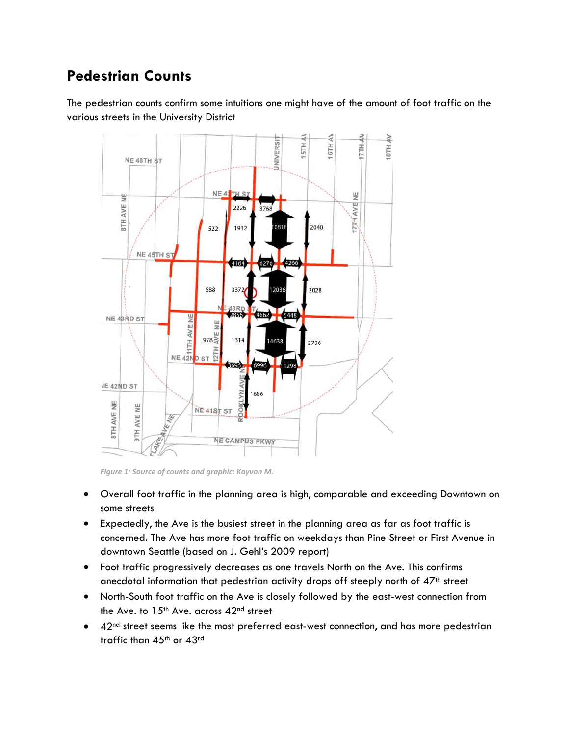## **Pedestrian Counts**

The pedestrian counts confirm some intuitions one might have of the amount of foot traffic on the various streets in the University District



*Figure 1: Source of counts and graphic: Kayvon M.*

- Overall foot traffic in the planning area is high, comparable and exceeding Downtown on some streets
- Expectedly, the Ave is the busiest street in the planning area as far as foot traffic is concerned. The Ave has more foot traffic on weekdays than Pine Street or First Avenue in downtown Seattle (based on J. Gehl's 2009 report)
- Foot traffic progressively decreases as one travels North on the Ave. This confirms anecdotal information that pedestrian activity drops off steeply north of 47<sup>th</sup> street
- North-South foot traffic on the Ave is closely followed by the east-west connection from the Ave. to  $15<sup>th</sup>$  Ave. across  $42<sup>nd</sup>$  street
- 42<sup>nd</sup> street seems like the most preferred east-west connection, and has more pedestrian traffic than 45<sup>th</sup> or 43<sup>rd</sup>